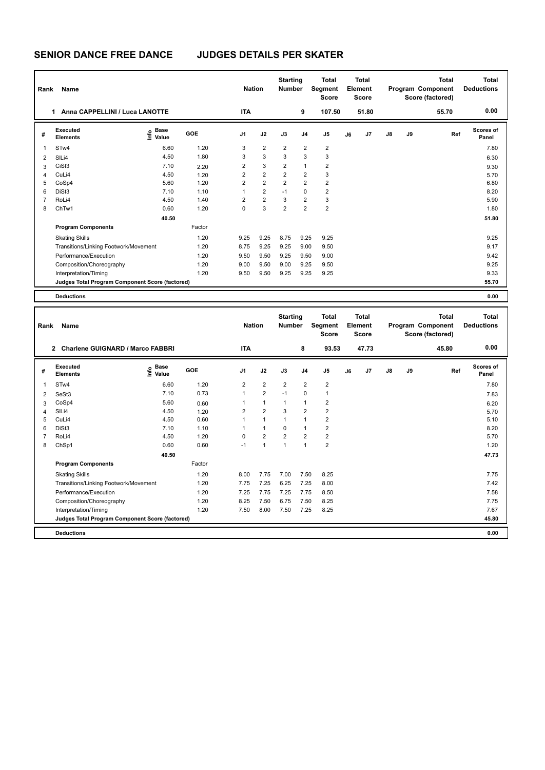| Rank | <b>Name</b>                                     |                              |            |                | <b>Nation</b>  |                         | <b>Starting</b><br><b>Number</b> | <b>Total</b><br><b>Total</b><br>Segment<br>Element<br><b>Score</b><br><b>Score</b> |    | <b>Total</b><br>Program Component<br>Score (factored) |               |    | Total<br><b>Deductions</b> |                           |
|------|-------------------------------------------------|------------------------------|------------|----------------|----------------|-------------------------|----------------------------------|------------------------------------------------------------------------------------|----|-------------------------------------------------------|---------------|----|----------------------------|---------------------------|
|      | Anna CAPPELLINI / Luca LANOTTE<br>1.            |                              |            | <b>ITA</b>     |                |                         | 9                                | 107.50                                                                             |    | 51.80                                                 |               |    | 55.70                      | 0.00                      |
| #    | Executed<br><b>Elements</b>                     | <b>Base</b><br>lnfo<br>Value | <b>GOE</b> | J <sub>1</sub> | J2             | J3                      | J <sub>4</sub>                   | J <sub>5</sub>                                                                     | J6 | J <sub>7</sub>                                        | $\mathsf{J}8$ | J9 | Ref                        | <b>Scores of</b><br>Panel |
| 1    | STw4                                            | 6.60                         | 1.20       | 3              | $\overline{2}$ | $\overline{2}$          | $\overline{2}$                   | $\overline{2}$                                                                     |    |                                                       |               |    |                            | 7.80                      |
| 2    | SILi4                                           | 4.50                         | 1.80       | 3              | 3              | 3                       | $\mathbf{3}$                     | 3                                                                                  |    |                                                       |               |    |                            | 6.30                      |
| 3    | CiSt <sub>3</sub>                               | 7.10                         | 2.20       | $\overline{2}$ | 3              | $\overline{2}$          | $\mathbf{1}$                     | $\overline{2}$                                                                     |    |                                                       |               |    |                            | 9.30                      |
| 4    | CuLi4                                           | 4.50                         | 1.20       | $\overline{2}$ | $\overline{2}$ | $\overline{2}$          | $\overline{2}$                   | 3                                                                                  |    |                                                       |               |    |                            | 5.70                      |
| 5    | CoSp4                                           | 5.60                         | 1.20       | 2              | $\overline{2}$ | $\overline{\mathbf{c}}$ | $\overline{2}$                   | $\overline{\mathbf{c}}$                                                            |    |                                                       |               |    |                            | 6.80                      |
| 6    | DiSt <sub>3</sub>                               | 7.10                         | 1.10       |                | $\overline{2}$ | $-1$                    | $\mathbf 0$                      | $\overline{2}$                                                                     |    |                                                       |               |    |                            | 8.20                      |
| 7    | RoLi4                                           | 4.50                         | 1.40       | $\overline{2}$ | $\overline{2}$ | 3                       | $\overline{2}$                   | 3                                                                                  |    |                                                       |               |    |                            | 5.90                      |
| 8    | ChTw1                                           | 0.60                         | 1.20       | 0              | 3              | $\overline{2}$          | $\overline{2}$                   | $\overline{2}$                                                                     |    |                                                       |               |    |                            | 1.80                      |
|      |                                                 | 40.50                        |            |                |                |                         |                                  |                                                                                    |    |                                                       |               |    |                            | 51.80                     |
|      | <b>Program Components</b>                       |                              | Factor     |                |                |                         |                                  |                                                                                    |    |                                                       |               |    |                            |                           |
|      | <b>Skating Skills</b>                           |                              | 1.20       | 9.25           | 9.25           | 8.75                    | 9.25                             | 9.25                                                                               |    |                                                       |               |    |                            | 9.25                      |
|      | Transitions/Linking Footwork/Movement           |                              | 1.20       | 8.75           | 9.25           | 9.25                    | 9.00                             | 9.50                                                                               |    |                                                       |               |    |                            | 9.17                      |
|      | Performance/Execution                           |                              | 1.20       | 9.50           | 9.50           | 9.25                    | 9.50                             | 9.00                                                                               |    |                                                       |               |    |                            | 9.42                      |
|      | Composition/Choreography                        |                              | 1.20       | 9.00           | 9.50           | 9.00                    | 9.25                             | 9.50                                                                               |    |                                                       |               |    |                            | 9.25                      |
|      | Interpretation/Timing                           |                              | 1.20       | 9.50           | 9.50           | 9.25                    | 9.25                             | 9.25                                                                               |    |                                                       |               |    |                            | 9.33                      |
|      | Judges Total Program Component Score (factored) |                              |            |                |                |                         |                                  |                                                                                    |    |                                                       |               |    |                            | 55.70                     |
|      | <b>Deductions</b>                               |                              |            |                |                |                         |                                  |                                                                                    |    |                                                       |               |    |                            | 0.00                      |

|                | Name<br>Rank                                              |                                         |        |                | <b>Nation</b>  |                | <b>Starting</b><br><b>Number</b> | <b>Total</b><br>Segment<br><b>Score</b> | <b>Total</b><br>Element<br><b>Score</b> |                |    |    | <b>Total</b><br>Program Component<br>Score (factored) | <b>Total</b><br><b>Deductions</b> |
|----------------|-----------------------------------------------------------|-----------------------------------------|--------|----------------|----------------|----------------|----------------------------------|-----------------------------------------|-----------------------------------------|----------------|----|----|-------------------------------------------------------|-----------------------------------|
|                | <b>Charlene GUIGNARD / Marco FABBRI</b><br>$\overline{2}$ |                                         |        | <b>ITA</b>     |                |                | 8                                | 93.53                                   |                                         | 47.73          |    |    | 45.80                                                 | 0.00                              |
| #              | Executed<br><b>Elements</b>                               | $\mathbf{e}$ Base<br>$\mathbf{e}$ Value | GOE    | J <sub>1</sub> | J2             | J3             | J <sub>4</sub>                   | J <sub>5</sub>                          | J6                                      | J <sub>7</sub> | J8 | J9 | Ref                                                   | Scores of<br>Panel                |
| 1              | ST <sub>w</sub> 4                                         | 6.60                                    | 1.20   | 2              | $\overline{2}$ | $\overline{2}$ | $\overline{2}$                   | $\overline{\mathbf{c}}$                 |                                         |                |    |    |                                                       | 7.80                              |
| 2              | SeSt <sub>3</sub>                                         | 7.10                                    | 0.73   | 1              | $\overline{2}$ | $-1$           | $\mathbf 0$                      | 1                                       |                                         |                |    |    |                                                       | 7.83                              |
| 3              | CoSp4                                                     | 5.60                                    | 0.60   |                | $\mathbf{1}$   | 1              | $\mathbf{1}$                     | 2                                       |                                         |                |    |    |                                                       | 6.20                              |
| 4              | SILi4                                                     | 4.50                                    | 1.20   | $\overline{2}$ | $\overline{2}$ | 3              | $\overline{2}$                   | $\overline{2}$                          |                                         |                |    |    |                                                       | 5.70                              |
| 5              | CuLi4                                                     | 4.50                                    | 0.60   |                | $\mathbf{1}$   | 1              | 1                                | $\overline{2}$                          |                                         |                |    |    |                                                       | 5.10                              |
| 6              | DiSt <sub>3</sub>                                         | 7.10                                    | 1.10   |                | $\mathbf{1}$   | 0              | $\mathbf{1}$                     | $\overline{\mathbf{c}}$                 |                                         |                |    |    |                                                       | 8.20                              |
| $\overline{7}$ | RoLi4                                                     | 4.50                                    | 1.20   | 0              | $\overline{2}$ | $\overline{2}$ | $\overline{2}$                   | $\overline{\mathbf{c}}$                 |                                         |                |    |    |                                                       | 5.70                              |
| 8              | ChSp1                                                     | 0.60                                    | 0.60   | -1             | $\overline{1}$ | $\overline{1}$ | 1                                | $\overline{2}$                          |                                         |                |    |    |                                                       | 1.20                              |
|                |                                                           | 40.50                                   |        |                |                |                |                                  |                                         |                                         |                |    |    |                                                       | 47.73                             |
|                | <b>Program Components</b>                                 |                                         | Factor |                |                |                |                                  |                                         |                                         |                |    |    |                                                       |                                   |
|                | <b>Skating Skills</b>                                     |                                         | 1.20   | 8.00           | 7.75           | 7.00           | 7.50                             | 8.25                                    |                                         |                |    |    |                                                       | 7.75                              |
|                | Transitions/Linking Footwork/Movement                     |                                         | 1.20   | 7.75           | 7.25           | 6.25           | 7.25                             | 8.00                                    |                                         |                |    |    |                                                       | 7.42                              |
|                | Performance/Execution                                     |                                         | 1.20   | 7.25           | 7.75           | 7.25           | 7.75                             | 8.50                                    |                                         |                |    |    |                                                       | 7.58                              |
|                | Composition/Choreography                                  |                                         | 1.20   | 8.25           | 7.50           | 6.75           | 7.50                             | 8.25                                    |                                         |                |    |    |                                                       | 7.75                              |
|                | Interpretation/Timing                                     |                                         | 1.20   | 7.50           | 8.00           | 7.50           | 7.25                             | 8.25                                    |                                         |                |    |    |                                                       | 7.67                              |
|                | Judges Total Program Component Score (factored)           |                                         |        |                |                |                |                                  |                                         |                                         |                |    |    |                                                       | 45.80                             |
|                | <b>Deductions</b>                                         |                                         |        |                |                |                |                                  |                                         |                                         |                |    |    |                                                       | 0.00                              |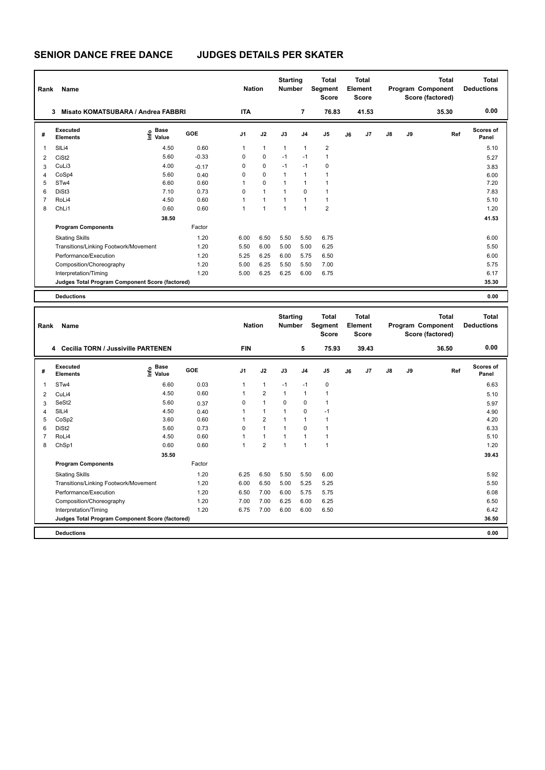| Rank | <b>Name</b>                                     |                              |         |                | <b>Nation</b>  |              | <b>Starting</b><br><b>Number</b> | <b>Total</b><br><b>Total</b><br>Segment<br>Element<br><b>Score</b><br><b>Score</b> |    |       | <b>Total</b><br>Program Component<br>Score (factored) |    |       | <b>Total</b><br><b>Deductions</b> |
|------|-------------------------------------------------|------------------------------|---------|----------------|----------------|--------------|----------------------------------|------------------------------------------------------------------------------------|----|-------|-------------------------------------------------------|----|-------|-----------------------------------|
|      | Misato KOMATSUBARA / Andrea FABBRI<br>3         |                              |         | <b>ITA</b>     |                |              | 7                                | 76.83                                                                              |    | 41.53 |                                                       |    | 35.30 | 0.00                              |
| #    | Executed<br><b>Elements</b>                     | <b>Base</b><br>lnfo<br>Value | GOE     | J <sub>1</sub> | J2             | J3           | J <sub>4</sub>                   | J <sub>5</sub>                                                                     | J6 | J7    | $\mathsf{J}8$                                         | J9 | Ref   | Scores of<br>Panel                |
| 1    | SILi4                                           | 4.50                         | 0.60    | 1              | $\mathbf{1}$   | $\mathbf{1}$ | $\overline{1}$                   | $\overline{2}$                                                                     |    |       |                                                       |    |       | 5.10                              |
| 2    | CiSt <sub>2</sub>                               | 5.60                         | $-0.33$ | 0              | $\mathbf 0$    | $-1$         | $-1$                             | 1                                                                                  |    |       |                                                       |    |       | 5.27                              |
| 3    | CuLi3                                           | 4.00                         | $-0.17$ | 0              | $\mathbf 0$    | $-1$         | $-1$                             | $\mathbf 0$                                                                        |    |       |                                                       |    |       | 3.83                              |
| 4    | CoSp4                                           | 5.60                         | 0.40    | 0              | $\mathbf 0$    | 1            | $\overline{1}$                   |                                                                                    |    |       |                                                       |    |       | 6.00                              |
| 5    | STw4                                            | 6.60                         | 0.60    | 1              | $\mathbf 0$    |              | 1                                |                                                                                    |    |       |                                                       |    |       | 7.20                              |
| 6    | DiSt <sub>3</sub>                               | 7.10                         | 0.73    | 0              | $\overline{1}$ |              | $\mathbf 0$                      |                                                                                    |    |       |                                                       |    |       | 7.83                              |
| 7    | RoLi4                                           | 4.50                         | 0.60    | 1              | $\overline{1}$ |              | $\overline{1}$                   | $\mathbf{1}$                                                                       |    |       |                                                       |    |       | 5.10                              |
| 8    | ChLi1                                           | 0.60                         | 0.60    | 1              | $\overline{1}$ | 1            | $\overline{1}$                   | $\overline{2}$                                                                     |    |       |                                                       |    |       | 1.20                              |
|      |                                                 | 38.50                        |         |                |                |              |                                  |                                                                                    |    |       |                                                       |    |       | 41.53                             |
|      | <b>Program Components</b>                       |                              | Factor  |                |                |              |                                  |                                                                                    |    |       |                                                       |    |       |                                   |
|      | <b>Skating Skills</b>                           |                              | 1.20    | 6.00           | 6.50           | 5.50         | 5.50                             | 6.75                                                                               |    |       |                                                       |    |       | 6.00                              |
|      | Transitions/Linking Footwork/Movement           |                              | 1.20    | 5.50           | 6.00           | 5.00         | 5.00                             | 6.25                                                                               |    |       |                                                       |    |       | 5.50                              |
|      | Performance/Execution                           |                              | 1.20    | 5.25           | 6.25           | 6.00         | 5.75                             | 6.50                                                                               |    |       |                                                       |    |       | 6.00                              |
|      | Composition/Choreography                        |                              | 1.20    | 5.00           | 6.25           | 5.50         | 5.50                             | 7.00                                                                               |    |       |                                                       |    |       | 5.75                              |
|      | Interpretation/Timing                           |                              | 1.20    | 5.00           | 6.25           | 6.25         | 6.00                             | 6.75                                                                               |    |       |                                                       |    |       | 6.17                              |
|      | Judges Total Program Component Score (factored) |                              |         |                |                |              |                                  |                                                                                    |    |       |                                                       |    |       | 35.30                             |
|      | <b>Deductions</b>                               |                              |         |                |                |              |                                  |                                                                                    |    |       |                                                       |    |       | 0.00                              |

**Total Deductions Total Program Component Score (factored) Total Element Score Total Segment Score Starting Rank Name Nation Number # Executed Elements Base Value GOE J1 J2 J3 J4 J5 J6 J7 J8 J9 Scores of Panel** 1 6.60 0.03 1 1 -1 -1 0 **Ref**  STw4 6.63 **Info 4 Cecilia TORN / Jussiville PARTENEN FIN 5 75.93 39.43 36.50 0.00** 2 CuLi4 4.50 0.60 1 2 1 1 1 5.10 3 SeSt2 5.60 0.37 0 1 0 0 1 5.97 4 SlLi4 4.50 0.40 1 1 1 0 -1 4.90 5 CoSp2 3.60 0.60 1 2 1 1 1 4.20 6 DiSt2 5.60 0.73 0 1 1 0 1 6.33 7 RoLi4 4.50 0.60 1 1 1 1 1 5.10 8 ChSp1 0.60 0.60 1 2 1 1 1 1.20  **35.50 39.43 Program Components**  Skating Skills 6.25 6.50 5.50 6.00 Factor 1.20 6.25 6.50 5.50 5.50 6.00 Transitions/Linking Footwork/Movement 1.20 6.00 6.50 5.00 5.25 5.25 5.50 Performance/Execution 1.20 1.20 6.50 7.00 6.00 5.75 5.75 6.08 5.98 6.08<br>1.20 7.00 7.00 6.25 6.00 6.25 6.00 6.25 6.00 6.25 6.00 6.25 6.00 6.25 6.50 Composition/Choreography 1.20 7.00 7.00 6.25 6.00 6.25 Interpretation/Timing 1.20 6.75 7.00 6.00 6.00 6.50 6.42 6.42 **Deductions 0.00 Judges Total Program Component Score (factored) 36.50**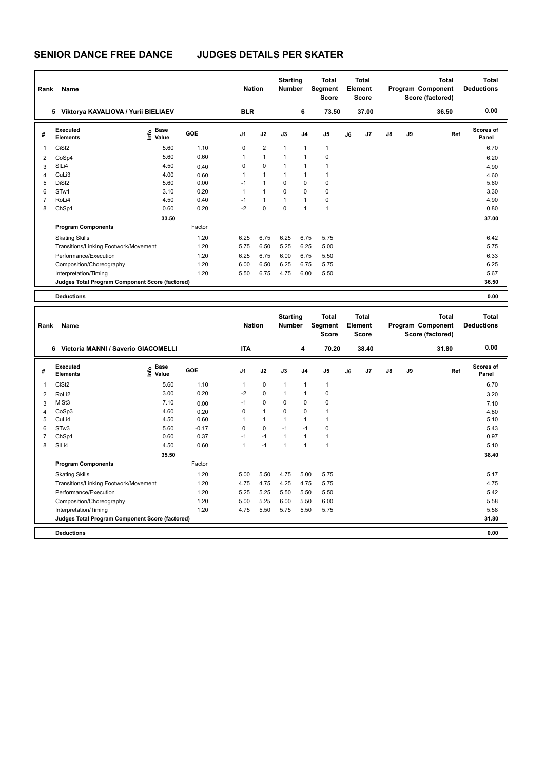| Rank | <b>Name</b>                                     |                                  |        |                | <b>Nation</b>  |                | <b>Starting</b><br><b>Number</b> | <b>Total</b><br>Segment<br><b>Score</b> |    | Total<br>Element<br><b>Score</b> |               | <b>Total</b><br>Program Component<br>Score (factored) |       | Total<br><b>Deductions</b> |
|------|-------------------------------------------------|----------------------------------|--------|----------------|----------------|----------------|----------------------------------|-----------------------------------------|----|----------------------------------|---------------|-------------------------------------------------------|-------|----------------------------|
|      | 5 Viktorya KAVALIOVA / Yurii BIELIAEV           |                                  |        | <b>BLR</b>     |                |                | 6                                | 73.50                                   |    | 37.00                            |               |                                                       | 36.50 | 0.00                       |
| #    | <b>Executed</b><br><b>Elements</b>              | <b>Base</b><br>e Base<br>⊆ Value | GOE    | J <sub>1</sub> | J2             | J3             | J <sub>4</sub>                   | J <sub>5</sub>                          | J6 | J <sub>7</sub>                   | $\mathsf{J}8$ | J9                                                    | Ref   | Scores of<br>Panel         |
| 1    | CiSt <sub>2</sub>                               | 5.60                             | 1.10   | 0              | $\overline{2}$ | 1              | $\overline{1}$                   | $\overline{1}$                          |    |                                  |               |                                                       |       | 6.70                       |
| 2    | CoSp4                                           | 5.60                             | 0.60   | 1              | $\mathbf{1}$   | 1              | $\overline{1}$                   | 0                                       |    |                                  |               |                                                       |       | 6.20                       |
| 3    | SILi4                                           | 4.50                             | 0.40   | 0              | $\mathbf 0$    | $\overline{1}$ | $\overline{1}$                   | 1                                       |    |                                  |               |                                                       |       | 4.90                       |
| 4    | CuLi3                                           | 4.00                             | 0.60   | 1              | $\mathbf{1}$   | 1              | $\overline{1}$                   | 1                                       |    |                                  |               |                                                       |       | 4.60                       |
| 5    | DiSt <sub>2</sub>                               | 5.60                             | 0.00   | $-1$           | $\overline{1}$ | 0              | 0                                | 0                                       |    |                                  |               |                                                       |       | 5.60                       |
| 6    | STw1                                            | 3.10                             | 0.20   | 1              | $\overline{1}$ | $\Omega$       | 0                                | 0                                       |    |                                  |               |                                                       |       | 3.30                       |
| 7    | RoLi4                                           | 4.50                             | 0.40   | $-1$           | $\overline{1}$ | 1              | $\overline{1}$                   | 0                                       |    |                                  |               |                                                       |       | 4.90                       |
| 8    | ChSp1                                           | 0.60                             | 0.20   | $-2$           | $\Omega$       | $\Omega$       | $\overline{1}$                   | $\overline{1}$                          |    |                                  |               |                                                       |       | 0.80                       |
|      |                                                 | 33.50                            |        |                |                |                |                                  |                                         |    |                                  |               |                                                       |       | 37.00                      |
|      | <b>Program Components</b>                       |                                  | Factor |                |                |                |                                  |                                         |    |                                  |               |                                                       |       |                            |
|      | <b>Skating Skills</b>                           |                                  | 1.20   | 6.25           | 6.75           | 6.25           | 6.75                             | 5.75                                    |    |                                  |               |                                                       |       | 6.42                       |
|      | Transitions/Linking Footwork/Movement           |                                  | 1.20   | 5.75           | 6.50           | 5.25           | 6.25                             | 5.00                                    |    |                                  |               |                                                       |       | 5.75                       |
|      | Performance/Execution                           |                                  | 1.20   | 6.25           | 6.75           | 6.00           | 6.75                             | 5.50                                    |    |                                  |               |                                                       |       | 6.33                       |
|      | Composition/Choreography                        |                                  | 1.20   | 6.00           | 6.50           | 6.25           | 6.75                             | 5.75                                    |    |                                  |               |                                                       |       | 6.25                       |
|      | Interpretation/Timing                           |                                  | 1.20   | 5.50           | 6.75           | 4.75           | 6.00                             | 5.50                                    |    |                                  |               |                                                       |       | 5.67                       |
|      | Judges Total Program Component Score (factored) |                                  |        |                |                |                |                                  |                                         |    |                                  |               |                                                       |       | 36.50                      |
|      | <b>Deductions</b>                               |                                  |        |                |                |                |                                  |                                         |    |                                  |               |                                                       |       | 0.00                       |

|                | Name<br>Rank                                    |                                         |         |                | <b>Nation</b> |                | <b>Starting</b><br><b>Number</b> | <b>Total</b><br>Segment<br><b>Score</b> | <b>Total</b><br>Element<br><b>Score</b> |       |               |    | <b>Total</b><br>Program Component<br>Score (factored) | <b>Total</b><br><b>Deductions</b> |
|----------------|-------------------------------------------------|-----------------------------------------|---------|----------------|---------------|----------------|----------------------------------|-----------------------------------------|-----------------------------------------|-------|---------------|----|-------------------------------------------------------|-----------------------------------|
|                | Victoria MANNI / Saverio GIACOMELLI<br>6        |                                         |         | <b>ITA</b>     |               |                | 4                                | 70.20                                   |                                         | 38.40 |               |    | 31.80                                                 | 0.00                              |
| #              | Executed<br><b>Elements</b>                     | $\mathbf{e}$ Base<br>$\mathbf{e}$ Value | GOE     | J <sub>1</sub> | J2            | J3             | J <sub>4</sub>                   | J <sub>5</sub>                          | J6                                      | J7    | $\mathsf{J}8$ | J9 | Ref                                                   | Scores of<br>Panel                |
| 1              | CiSt <sub>2</sub>                               | 5.60                                    | 1.10    |                | $\mathbf 0$   | $\mathbf{1}$   | $\mathbf{1}$                     | 1                                       |                                         |       |               |    |                                                       | 6.70                              |
| 2              | RoLi2                                           | 3.00                                    | 0.20    | $-2$           | $\mathbf 0$   | $\mathbf{1}$   | $\mathbf{1}$                     | $\mathbf 0$                             |                                         |       |               |    |                                                       | 3.20                              |
| 3              | MiSt <sub>3</sub>                               | 7.10                                    | 0.00    | $-1$           | $\mathbf 0$   | 0              | 0                                | $\mathbf 0$                             |                                         |       |               |    |                                                       | 7.10                              |
| 4              | CoSp3                                           | 4.60                                    | 0.20    | 0              | $\mathbf{1}$  | $\Omega$       | $\mathbf 0$                      | 1                                       |                                         |       |               |    |                                                       | 4.80                              |
| 5              | CuLi4                                           | 4.50                                    | 0.60    |                | $\mathbf{1}$  | $\overline{1}$ | $\mathbf{1}$                     | 1                                       |                                         |       |               |    |                                                       | 5.10                              |
| 6              | STw <sub>3</sub>                                | 5.60                                    | $-0.17$ | $\Omega$       | $\mathbf 0$   | $-1$           | $-1$                             | $\mathbf 0$                             |                                         |       |               |    |                                                       | 5.43                              |
| $\overline{7}$ | ChSp1                                           | 0.60                                    | 0.37    | $-1$           | $-1$          | $\mathbf{1}$   | $\mathbf{1}$                     | 1                                       |                                         |       |               |    |                                                       | 0.97                              |
| 8              | SIL <sub>i4</sub>                               | 4.50                                    | 0.60    | 1              | $-1$          | $\mathbf{1}$   | $\mathbf{1}$                     | 1                                       |                                         |       |               |    |                                                       | 5.10                              |
|                |                                                 | 35.50                                   |         |                |               |                |                                  |                                         |                                         |       |               |    |                                                       | 38.40                             |
|                | <b>Program Components</b>                       |                                         | Factor  |                |               |                |                                  |                                         |                                         |       |               |    |                                                       |                                   |
|                | <b>Skating Skills</b>                           |                                         | 1.20    | 5.00           | 5.50          | 4.75           | 5.00                             | 5.75                                    |                                         |       |               |    |                                                       | 5.17                              |
|                | Transitions/Linking Footwork/Movement           |                                         | 1.20    | 4.75           | 4.75          | 4.25           | 4.75                             | 5.75                                    |                                         |       |               |    |                                                       | 4.75                              |
|                | Performance/Execution                           |                                         | 1.20    | 5.25           | 5.25          | 5.50           | 5.50                             | 5.50                                    |                                         |       |               |    |                                                       | 5.42                              |
|                | Composition/Choreography                        |                                         | 1.20    | 5.00           | 5.25          | 6.00           | 5.50                             | 6.00                                    |                                         |       |               |    |                                                       | 5.58                              |
|                | Interpretation/Timing                           |                                         | 1.20    | 4.75           | 5.50          | 5.75           | 5.50                             | 5.75                                    |                                         |       |               |    |                                                       | 5.58                              |
|                | Judges Total Program Component Score (factored) |                                         |         |                |               |                |                                  |                                         |                                         |       |               |    |                                                       | 31.80                             |
|                | <b>Deductions</b>                               |                                         |         |                |               |                |                                  |                                         |                                         |       |               |    |                                                       | 0.00                              |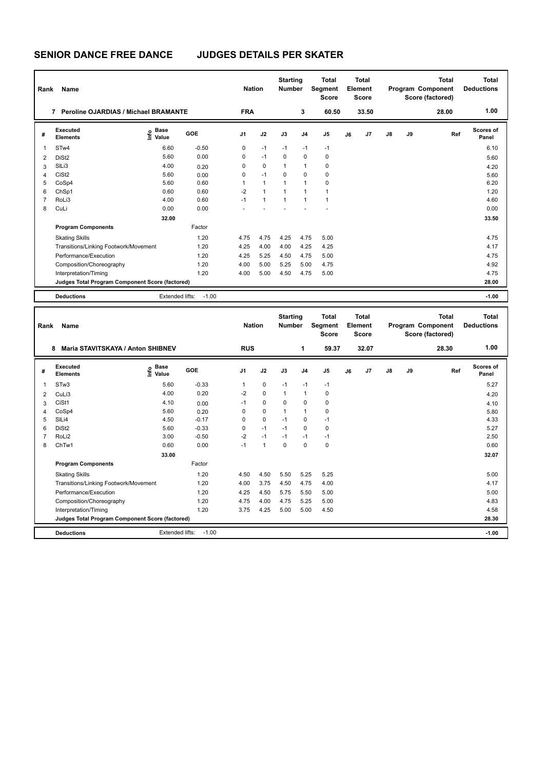| Rank | Name                                             |                                  |         |                | <b>Nation</b>  |                | <b>Starting</b><br><b>Number</b> | Total<br>Total<br>Segment<br>Element<br><b>Score</b><br><b>Score</b> |    |       | <b>Total</b><br>Program Component<br>Score (factored) |    |       | <b>Total</b><br><b>Deductions</b> |
|------|--------------------------------------------------|----------------------------------|---------|----------------|----------------|----------------|----------------------------------|----------------------------------------------------------------------|----|-------|-------------------------------------------------------|----|-------|-----------------------------------|
|      | <b>Peroline OJARDIAS / Michael BRAMANTE</b><br>7 |                                  |         | <b>FRA</b>     |                |                | 3                                | 60.50                                                                |    | 33.50 |                                                       |    | 28.00 | 1.00                              |
| #    | Executed<br><b>Elements</b>                      | <b>Base</b><br>e Base<br>E Value | GOE     | J <sub>1</sub> | J2             | J3             | J <sub>4</sub>                   | J <sub>5</sub>                                                       | J6 | J7    | $\mathsf{J}8$                                         | J9 | Ref   | Scores of<br>Panel                |
| 1    | ST <sub>w</sub> 4                                | 6.60                             | $-0.50$ | 0              | $-1$           | $-1$           | $-1$                             | $-1$                                                                 |    |       |                                                       |    |       | 6.10                              |
| 2    | DiSt <sub>2</sub>                                | 5.60                             | 0.00    | $\Omega$       | $-1$           | $\Omega$       | $\mathbf 0$                      | 0                                                                    |    |       |                                                       |    |       | 5.60                              |
| 3    | SILi3                                            | 4.00                             | 0.20    | $\Omega$       | $\mathbf 0$    | 1              | $\overline{1}$                   | 0                                                                    |    |       |                                                       |    |       | 4.20                              |
| 4    | CiSt <sub>2</sub>                                | 5.60                             | 0.00    | 0              | $-1$           | $\Omega$       | $\Omega$                         | 0                                                                    |    |       |                                                       |    |       | 5.60                              |
| 5    | CoSp4                                            | 5.60                             | 0.60    | 1              | $\mathbf{1}$   | 1              | $\overline{1}$                   | 0                                                                    |    |       |                                                       |    |       | 6.20                              |
| 6    | ChSp1                                            | 0.60                             | 0.60    | $-2$           | $\overline{1}$ | $\overline{1}$ | $\overline{1}$                   | $\mathbf{1}$                                                         |    |       |                                                       |    |       | 1.20                              |
| 7    | RoLi3                                            | 4.00                             | 0.60    | $-1$           | $\mathbf{1}$   | $\overline{1}$ | $\overline{1}$                   | $\overline{1}$                                                       |    |       |                                                       |    |       | 4.60                              |
| 8    | CuLi                                             | 0.00                             | 0.00    |                |                |                |                                  |                                                                      |    |       |                                                       |    |       | 0.00                              |
|      |                                                  | 32.00                            |         |                |                |                |                                  |                                                                      |    |       |                                                       |    |       | 33.50                             |
|      | <b>Program Components</b>                        |                                  | Factor  |                |                |                |                                  |                                                                      |    |       |                                                       |    |       |                                   |
|      | <b>Skating Skills</b>                            |                                  | 1.20    | 4.75           | 4.75           | 4.25           | 4.75                             | 5.00                                                                 |    |       |                                                       |    |       | 4.75                              |
|      | Transitions/Linking Footwork/Movement            |                                  | 1.20    | 4.25           | 4.00           | 4.00           | 4.25                             | 4.25                                                                 |    |       |                                                       |    |       | 4.17                              |
|      | Performance/Execution                            |                                  | 1.20    | 4.25           | 5.25           | 4.50           | 4.75                             | 5.00                                                                 |    |       |                                                       |    |       | 4.75                              |
|      | Composition/Choreography                         |                                  | 1.20    | 4.00           | 5.00           | 5.25           | 5.00                             | 4.75                                                                 |    |       |                                                       |    |       | 4.92                              |
|      | Interpretation/Timing                            |                                  | 1.20    | 4.00           | 5.00           | 4.50           | 4.75                             | 5.00                                                                 |    |       |                                                       |    |       | 4.75                              |
|      | Judges Total Program Component Score (factored)  |                                  |         |                |                |                |                                  |                                                                      |    |       |                                                       |    |       | 28.00                             |
|      | <b>Deductions</b>                                | Extended lifts:                  | $-1.00$ |                |                |                |                                  |                                                                      |    |       |                                                       |    |       | $-1.00$                           |

| Rank           | Name                                            |                           |         |                | <b>Nation</b>  |              | <b>Starting</b><br><b>Number</b> | <b>Total</b><br>Segment<br><b>Score</b> | Total<br>Element<br><b>Score</b> |       |               |    | <b>Total</b><br>Program Component<br>Score (factored) | Total<br><b>Deductions</b> |
|----------------|-------------------------------------------------|---------------------------|---------|----------------|----------------|--------------|----------------------------------|-----------------------------------------|----------------------------------|-------|---------------|----|-------------------------------------------------------|----------------------------|
|                | Maria STAVITSKAYA / Anton SHIBNEV<br>8          |                           |         | <b>RUS</b>     |                |              | 1                                | 59.37                                   |                                  | 32.07 |               |    | 28.30                                                 | 1.00                       |
| #              | Executed<br><b>Elements</b>                     | Base<br>e Base<br>E Value | GOE     | J <sub>1</sub> | J2             | J3           | J <sub>4</sub>                   | J <sub>5</sub>                          | J6                               | J7    | $\mathsf{J}8$ | J9 | Ref                                                   | <b>Scores of</b><br>Panel  |
| 1              | STw3                                            | 5.60                      | $-0.33$ | 1              | $\mathbf 0$    | $-1$         | $-1$                             | $-1$                                    |                                  |       |               |    |                                                       | 5.27                       |
| $\overline{2}$ | CuLi3                                           | 4.00                      | 0.20    | $-2$           | $\mathbf 0$    | $\mathbf{1}$ | $\overline{1}$                   | 0                                       |                                  |       |               |    |                                                       | 4.20                       |
| 3              | CiSt1                                           | 4.10                      | 0.00    | $-1$           | $\mathbf 0$    | $\Omega$     | 0                                | 0                                       |                                  |       |               |    |                                                       | 4.10                       |
| 4              | CoSp4                                           | 5.60                      | 0.20    | 0              | 0              | 1            | $\overline{1}$                   | 0                                       |                                  |       |               |    |                                                       | 5.80                       |
| 5              | SILi4                                           | 4.50                      | $-0.17$ | 0              | $\mathbf 0$    | $-1$         | 0                                | $-1$                                    |                                  |       |               |    |                                                       | 4.33                       |
| 6              | DiSt <sub>2</sub>                               | 5.60                      | $-0.33$ | 0              | $-1$           | $-1$         | 0                                | 0                                       |                                  |       |               |    |                                                       | 5.27                       |
| $\overline{7}$ | RoLi <sub>2</sub>                               | 3.00                      | $-0.50$ | $-2$           | $-1$           | $-1$         | $-1$                             | $-1$                                    |                                  |       |               |    |                                                       | 2.50                       |
| 8              | ChTw1                                           | 0.60                      | 0.00    | $-1$           | $\overline{1}$ | 0            | 0                                | 0                                       |                                  |       |               |    |                                                       | 0.60                       |
|                |                                                 | 33.00                     |         |                |                |              |                                  |                                         |                                  |       |               |    |                                                       | 32.07                      |
|                | <b>Program Components</b>                       |                           | Factor  |                |                |              |                                  |                                         |                                  |       |               |    |                                                       |                            |
|                | <b>Skating Skills</b>                           |                           | 1.20    | 4.50           | 4.50           | 5.50         | 5.25                             | 5.25                                    |                                  |       |               |    |                                                       | 5.00                       |
|                | Transitions/Linking Footwork/Movement           |                           | 1.20    | 4.00           | 3.75           | 4.50         | 4.75                             | 4.00                                    |                                  |       |               |    |                                                       | 4.17                       |
|                | Performance/Execution                           |                           | 1.20    | 4.25           | 4.50           | 5.75         | 5.50                             | 5.00                                    |                                  |       |               |    |                                                       | 5.00                       |
|                | Composition/Choreography                        |                           | 1.20    | 4.75           | 4.00           | 4.75         | 5.25                             | 5.00                                    |                                  |       |               |    |                                                       | 4.83                       |
|                | Interpretation/Timing                           |                           | 1.20    | 3.75           | 4.25           | 5.00         | 5.00                             | 4.50                                    |                                  |       |               |    |                                                       | 4.58                       |
|                | Judges Total Program Component Score (factored) |                           |         |                |                |              |                                  |                                         |                                  |       |               |    |                                                       | 28.30                      |
|                | <b>Deductions</b>                               | Extended lifts:           | $-1.00$ |                |                |              |                                  |                                         |                                  |       |               |    |                                                       | $-1.00$                    |